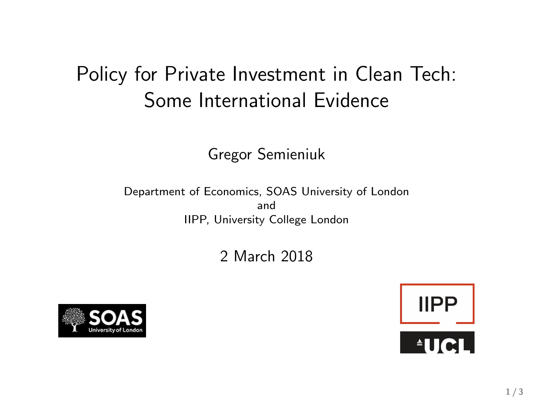# Policy for Private Investment in Clean Tech: Some International Evidence

Gregor Semieniuk

Department of Economics, SOAS University of London and IIPP, University College London

2 March 2018



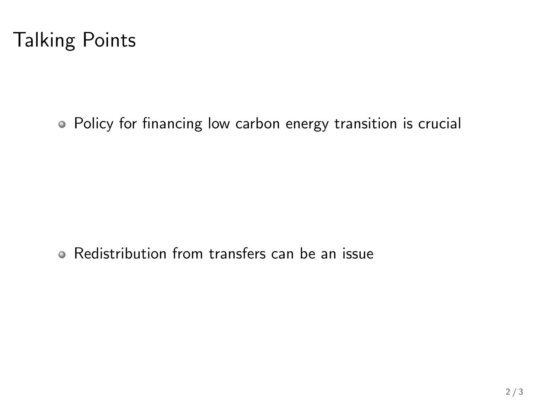Policy for financing low carbon energy transition is crucial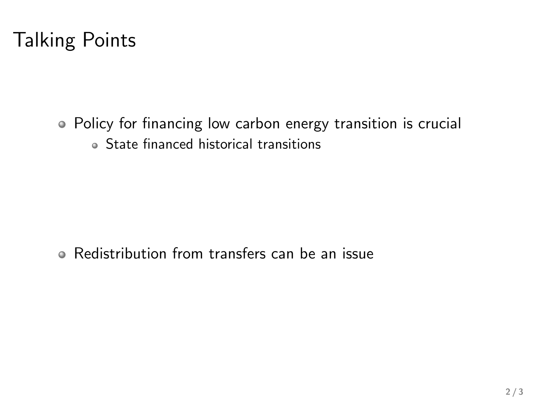Policy for financing low carbon energy transition is crucial State financed historical transitions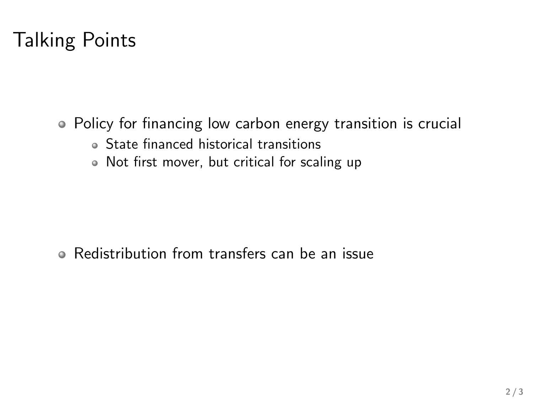- Policy for financing low carbon energy transition is crucial State financed historical transitions
	- Not first mover, but critical for scaling up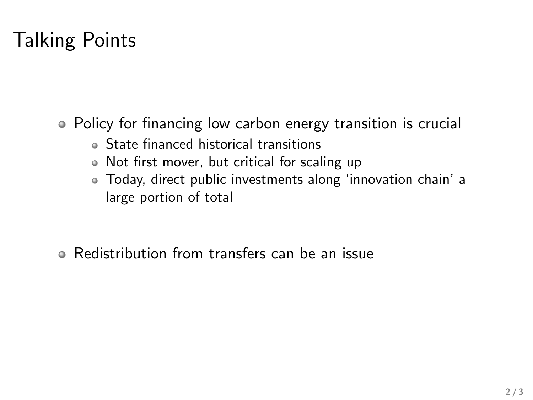- Policy for financing low carbon energy transition is crucial
	- State financed historical transitions
	- Not first mover, but critical for scaling up
	- Today, direct public investments along 'innovation chain' a large portion of total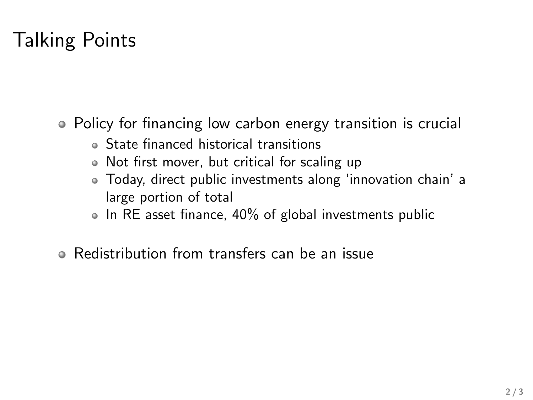- Policy for financing low carbon energy transition is crucial
	- State financed historical transitions
	- Not first mover, but critical for scaling up
	- Today, direct public investments along 'innovation chain' a large portion of total
	- $\bullet$  In RE asset finance, 40% of global investments public
- Redistribution from transfers can be an issue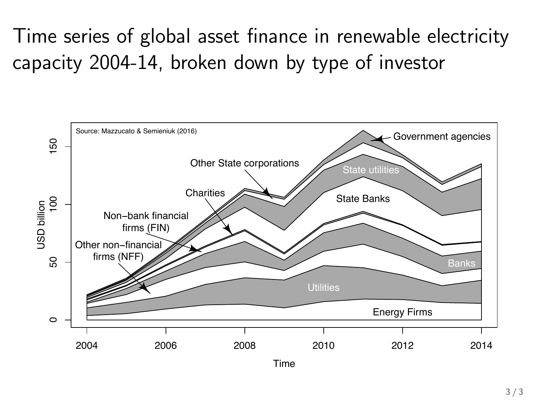# Time series of global asset finance in renewable electricity capacity 2004-14, broken down by type of investor

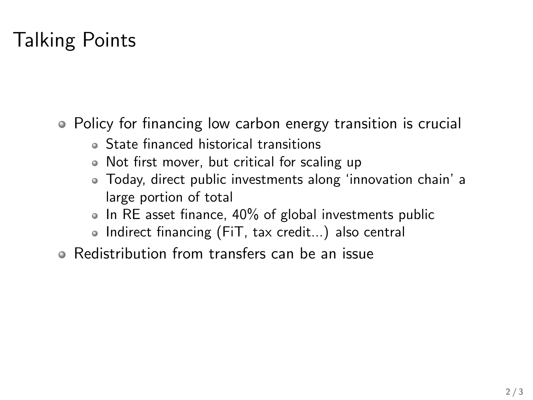- Policy for financing low carbon energy transition is crucial
	- State financed historical transitions
	- Not first mover, but critical for scaling up
	- Today, direct public investments along 'innovation chain' a large portion of total
	- $\bullet$  In RE asset finance, 40% of global investments public
	- Indirect financing (FiT, tax credit...) also central
- Redistribution from transfers can be an issue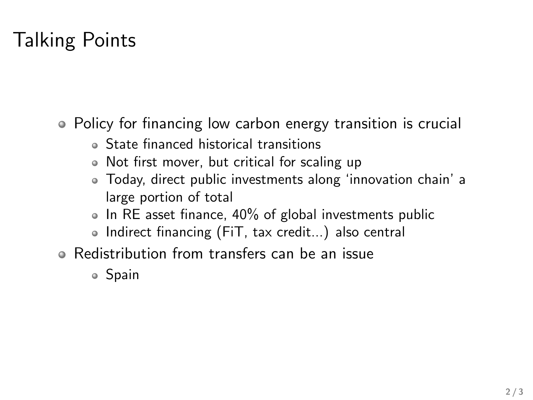- Policy for financing low carbon energy transition is crucial
	- State financed historical transitions
	- Not first mover, but critical for scaling up
	- Today, direct public investments along 'innovation chain' a large portion of total
	- $\bullet$  In RE asset finance, 40% of global investments public
	- Indirect financing (FiT, tax credit...) also central
- Redistribution from transfers can be an issue
	- Spain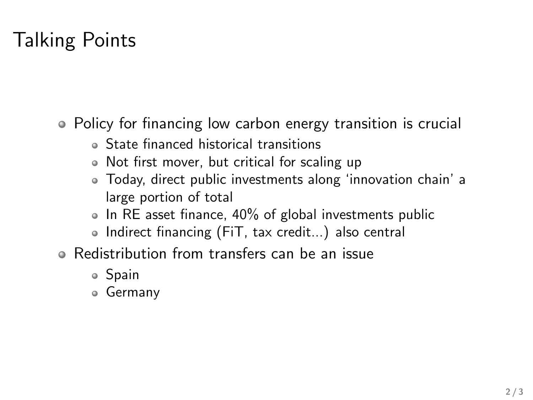- Policy for financing low carbon energy transition is crucial
	- State financed historical transitions
	- Not first mover, but critical for scaling up
	- Today, direct public investments along 'innovation chain' a large portion of total
	- $\bullet$  In RE asset finance, 40% of global investments public
	- Indirect financing (FiT, tax credit...) also central
- Redistribution from transfers can be an issue
	- Spain
	- Germany